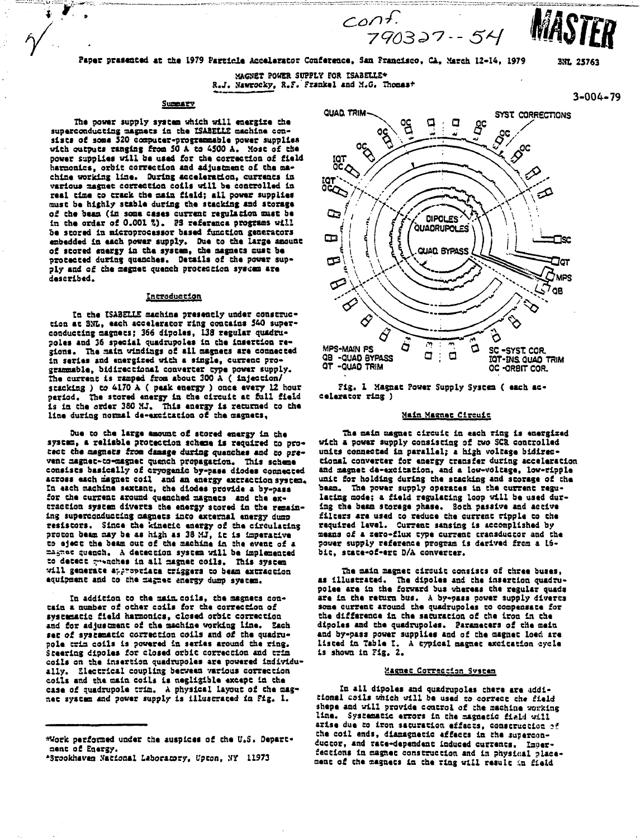$conf$  $790327 - 54$ 

Paper prasented at the 1979 Particle Accelerator Conference, San Francisco, CA, March 12-14, 1979 381 25763

**MAGNET POWER SUPPLY FOR ISAEEUE\* S..J. Sfavrocky, 8.F. Fraakel and M.G. Thomas\***

3-004-79

# **Summary**

/ - •

**Iba powar supply system which will energise ehe** superconducting magnets in the ISABELLE machine consists of some 320 computer-programmable power supplies **with outputs ranging from 50** *K* **ea 4500 A. Host of eha power supplies will ba usad for eha correction of flald harmonics, orbit correction and adjustment of eha machine werklag lisa. During acceleration, curttaes is various aagaac eorreceion colls will ba caaerollad la real eima to crack eha main {laid; all powar supplias muse ba highly seabla during eha sticking aad seoraga of cha baaa (la soaa casas eurrane ragulaeioa must ba In eha ordar of 0.001 S). PS reference programs will ba scorad la microprocessor basad function generators anbaddad in aach povar supply. Oua eo eha larga asaunt of seorad aaargy la eha system, eha magnets cust ba** protacted during quanches. Details of the power sup**ply and of eha aagaae quench proeeeetea sya<:as ara dascrlbad.**

## **Inerodueeion**

In the ISABELLE machine presently under construc**tion ae SHI, aaeh acealaraeor ring contains 560 superconducting oagaaes; 366 dlpolas, 133 ragular quadrupoles and 36 spaeial quadrupoles in eha insertion rejions. Tha saia windings of all magnets ara conaaeead in sarias and tnarglzad vleh a Jingle, current programmable, bidiraeelanal coavarear type powar supply. tha currant is ramped froa about 300 A ( injection/ stacking ) eo 4170 A ( peak aaargy ) anca every 12 hour period. Tha seorad energy la eha circuit ae full fiald is la cha ordar 380 MJ. This aaargy is reeuraad eo eha line durlag normal de-excicacion of eha magnets,**

**Oua eo cha larga aaouat of scorad energy ia eha system, a reliable protection sehana 1\* required eo pro\*** tect the magnets from damage during quenches and to pre**venc aagaat-catugaae quench propagation. This schema consists basically of cryogenic by-paaa diodes connected across aach aagaae coil and an energy exeraceloa system. In each machine sexeant, eha diodes provide a by-pass** for the current around quenched magnets and the ex**traction syseen diverts eha aaargy searad la eha remaining Jupereondueting magnets lata external aaargy dump resistors. Since eha kinetic enargy of cha circulating proeoa beam oay ba aa high as 38 MJ, it is iaperaeiva to eject eha besa out of ehe machine in :ha aveae of a** mastee quench. A detection system will be implemented to detect meaches in all magnet coils. This system **will geners.ee ajpraoriata triggers to beam extraction equipment and eo eha sagsee energy dump syaeam.**

In addition to the main coils, the magnets con**eaia a number of other calls for eha correction af systaaaelc flald harmonies, closed orbit carreetlea aad far adjustment of the machine worklag tine. Each** set of systematic correction coils and of the quadru**pola eria coils is powered ia series around eha riag. Steering dlpales far closed orbit correction and trim** coils on the insertion quadrupoles are powered individu**ally. Electrical coupling baevean variaus correction coils and eha mala coils is negligible except ia eha case of quadrupola trim. A physical layout of eha aagrtec syseam and povar supply is Illustrated ia Fig. 1.**



**Fig. 1 Magnet Powar Supply Sysecn ( each accelerator ring )**

## **Main Magnet Circuit**

**Tha main aagnee circuit in each ring is energized with a povar supply coasistiag af evo SC& controlled uaits connected la parallel; a high voltage bidirectional convartar for energy transfer during acceleration and magnet da-exeieaeion, aad a low-voltage, low-rippla unit for holding during eha stacking and seoraga of tha beam. The power supply operates in eha current regulating node; a flald regulating loop will ba used during eha beam seoraga phase. 3ocb passive and aeelve filters ara usad eo raduca eha current rippla eo eha required level. Current sensing is accomplished by means of a zero-flux type current transductor and the power supply reference program is derived frcm a ISble, seaea-of-are D/A convereer.**

**The mala aagnae circuit consists of ehrae buses, as illustrated. The dlpolaa and ehe insereloa quadrupoles ara ia eha forward bus whereas ehe regular quads ara la eha return bus. A by-pass powar supply diverts some current around eha quadrupoles eo compensate for eha difference ia eha laeuraeion af tha iron in ehe dlpolas aad cha quadrupolas. Parameters of ehe main and bypass power supplies and af tha oagaae load ara listed la Table I. A typical magnet excitation cycle is shown in Fig. 2.**

### **Magnet Correction Svstem**

**la all dlpolas and quadrupolas chare ara addi**tional coils which will be used to correct the field **shape and will provide control of tha machine rocking** line. Systematic errors in the magnetic fiald will **arise dua eo iron saturation effaces, construction ;? the coll ends, dlamagnaele effeccs in the jupercon**ductor, and rate-dependent induced currents. Imper**cectlons la magnet construction and ia physical jlacesene of ehe zagnaes ia tha ring will resule :.n field**

**<sup>\*</sup>Verle perfatsed under eha auspices of eha U.S. Department of Energy.**

**<sup>\*3</sup>raolehairen .vaelaaal Laboratory, t'peon,** *>lt* **11973**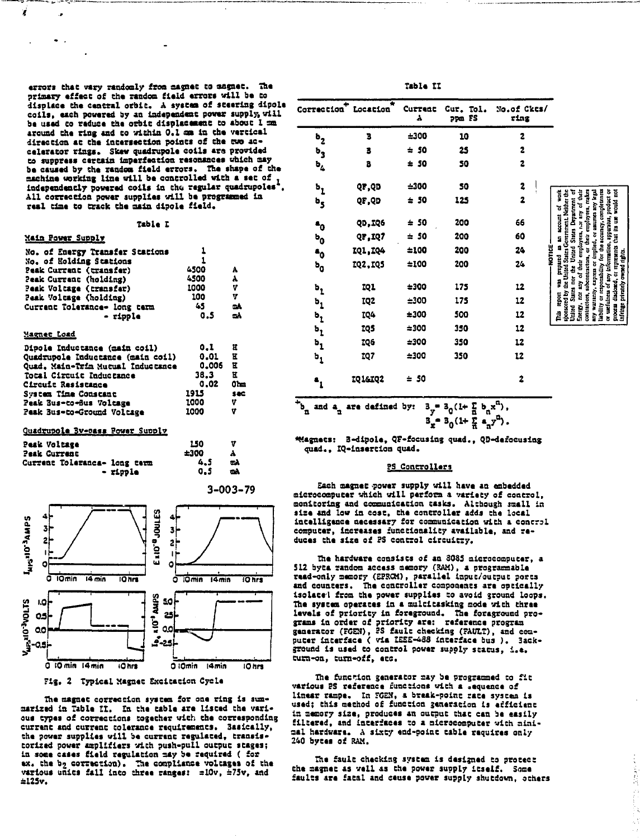errors that vary randomly from magnet to magnet. The primary effect of the random field errors will be to displace the cantral orbit. A system of steering dipole coils, each powered by an independent power supply will be used to reduce the orbit displacement to about I mm around the ring and to within 0.1 on in the vertical direction at the intersection points of the two accelerator rings. Skew quadrupole coils are provided to suppress certain imperfection resonances which may be caused by the random field errors. The shape of the one-was or the selection and the controlled with a set of independently powered coils in the regular quadrupoles All correction power supplies will be programmed in real time to track the main dipole field.

#### Table I

## Main Power Supply

| No. of Energy Transfer Stations |      |    |
|---------------------------------|------|----|
| No. of Holding Stations         |      |    |
| Peak Current (transfer)         | 4500 | А  |
| Peak Currant (holding)          | 4500 | A  |
| Peak Voltage (transfer)         | 1000 | v  |
| Peak Voltage (holding)          | 100  | v  |
| Currant Tolerance- long tarm    | 45   | ۵À |
| - ripple                        | a.s  | mÀ |
| Magnet Load                     |      |    |
|                                 |      |    |

| Dipole Inductance (main coil)     | 0.1   | Ħ    |
|-----------------------------------|-------|------|
| Quadrupole Inductance (main coil) | 0.01  | Ħ    |
| Quad. Main-Trim Mucual Inductance | 0.006 | Ħ    |
| Total Circuit Inductance          | 38.3  | Ħ    |
| Circuit Resistance                | 0.02  | 0bm  |
| System Time Constant              | 1915  | \$8C |
| Peak Bus-to-Sus Voltage           | 1000  | v    |
| Paule Bussch-Ground Volcage       | 1000  | v    |

#### Quadrupole By-pass Power Supply

| Pesk Voltzge                 | 150  | v  |
|------------------------------|------|----|
| Peak Current                 | ±300 | A  |
| Current Toleranca- long term | 4.5  | шó |
| - ricole                     | 0.5  | mi |





The magnet correction system for one ring is summarized in Table II. In the table are listed the various types of corrections together with the corresponding current and current tolerance requirements. Basically, the power supplies will be current regulated, transistorized power amplifiers with push-pull output stages; in some cases field regulation may be required ( for ax. the by correction). The compliance voltages of the various units fall into three ranges: =10v, =75v, and  $±125v.$ 

Table II

| Correction <sup>+</sup> | ÷<br>Location | Current<br>A | Cur. Tol.<br>ppm FS | No.of Ckts/<br>ring     |                                                                                                                                                                                                                                                                                                                                                                                                                                                                                                                                                       |
|-------------------------|---------------|--------------|---------------------|-------------------------|-------------------------------------------------------------------------------------------------------------------------------------------------------------------------------------------------------------------------------------------------------------------------------------------------------------------------------------------------------------------------------------------------------------------------------------------------------------------------------------------------------------------------------------------------------|
| $\mathbf{b}_{2}$        | В             | ±300         | 10                  | 2                       |                                                                                                                                                                                                                                                                                                                                                                                                                                                                                                                                                       |
| ь,                      | 3             | ± 50         | 25                  | 2                       |                                                                                                                                                                                                                                                                                                                                                                                                                                                                                                                                                       |
| ь,                      | 3             | ± 50         | 50                  | 2                       |                                                                                                                                                                                                                                                                                                                                                                                                                                                                                                                                                       |
| $\mathbf{b}_1$          | QF,QD         | ±300         | 50                  | $\overline{\mathbf{z}}$ |                                                                                                                                                                                                                                                                                                                                                                                                                                                                                                                                                       |
| $^b$                    | <b>QF,QD</b>  | ± 50         | 125                 | $\overline{\mathbf{z}}$ | š                                                                                                                                                                                                                                                                                                                                                                                                                                                                                                                                                     |
| $\cdot$                 | QD, IQ6       | 50<br>÷      | 200                 | 66                      |                                                                                                                                                                                                                                                                                                                                                                                                                                                                                                                                                       |
| <b>b</b> <sub>0</sub>   | QF, IQ7       | ± 50         | 200                 | 60                      |                                                                                                                                                                                                                                                                                                                                                                                                                                                                                                                                                       |
| $\mathbf{e}_0$          | IQ1,IQ4       | ±100         | 200                 | 24                      | NOTICE                                                                                                                                                                                                                                                                                                                                                                                                                                                                                                                                                |
| b <sub>0</sub>          | 192,195       | ±100         | 200                 | 24                      | lability or responsibility for the accuracy, completeness<br>process disclosed, or represents that its use would not<br>contractors, subcontractors, or their employees, makes<br>any warrany, express or implied, or assumes any legal<br>or usefulness of any information, apparatus, product or<br>United States nor the United States Department of<br>Energy, nor any of their employees, sar any of their<br>iponsored by the United States Government. Neither the<br>report was prepared as an account of<br>initinge privately owned rights. |
| $\mathbf{b}_1$          | IQ 1          | ±300         | 175                 | 12                      |                                                                                                                                                                                                                                                                                                                                                                                                                                                                                                                                                       |
| $^{\rm b}$              | TQ2           | $= 300$      | 175                 | 12                      |                                                                                                                                                                                                                                                                                                                                                                                                                                                                                                                                                       |
| $\mathbf{p}^{\prime}$   | TQ4           | ±300         | 500                 | 12                      | Ż                                                                                                                                                                                                                                                                                                                                                                                                                                                                                                                                                     |
| $\mathbf{b}_{1}$        | IQ5           | ±300         | 350                 | 12                      |                                                                                                                                                                                                                                                                                                                                                                                                                                                                                                                                                       |
| $\mathbf{p}_{1}$        | IQ6           | ±300         | 350                 | 12                      |                                                                                                                                                                                                                                                                                                                                                                                                                                                                                                                                                       |
| $\mathbf{p}_1$          | 107           | ≐300         | 350                 | 12                      |                                                                                                                                                                                                                                                                                                                                                                                                                                                                                                                                                       |
| $\ddot{\phantom{a}}_1$  | 1016102       | ± 50         |                     | 2                       |                                                                                                                                                                                                                                                                                                                                                                                                                                                                                                                                                       |

and  $a_n$  are defined by:  $B_y = B_0(1 + \frac{\pi}{6} b_n x^2),$  $B_0 = B_0(1 + \frac{\pi}{2} a_0 y^2)$ .

\*Magnets: B-dipole, QF-focusing quad., QD-defocusing quad.. IO-insercion quad.

## PS Controllers

Each magnet power supply will have an embedded microcomputer which will perform a variety of control, monitoring and communication tasks. Although small in size and low in cost, the controller adds the local intelligence necessary for communication with a concrol computer, increases functionality available, and reduces the size of PS control circuitry.

The hardware consists of an 3085 microcomputer, a 512 byta random access memory (RAM), a programmable read-only memory (EPRCM), parallel input/output ports<br>and counters. The controller components are optically isolatel from the power supplies to avoid ground loops. The system operates in a multitasking mode with three levels of priority in foreground. The foraground programs in order of priority are: reference program puter interface ( via IEEE-488 interface bus ). 3ackground is used to control power supply status. i.e. turn-on, turn-off, etc.

The function generator may be programmed to fit various PS reference functions with a sequence of linear rampe. In FGEN, a break-point rate system is used; this method of function generation is efficient in memory size, produces an output that can be easily filtered, and interfaces to a microcomputer with minimal hardware. A sixty end-point table requires only 240 byces of RAM.

The fault checking system is designed to protect the magnet as well as the power supply itself. Some faults are fatal and ceuse power supply shutdown, others